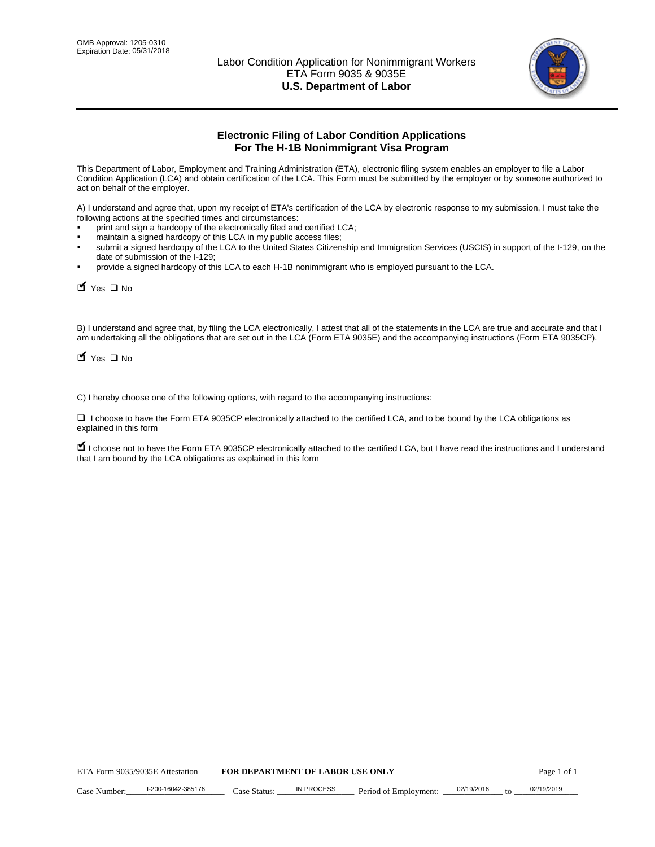

# **Electronic Filing of Labor Condition Applications For The H-1B Nonimmigrant Visa Program**

This Department of Labor, Employment and Training Administration (ETA), electronic filing system enables an employer to file a Labor Condition Application (LCA) and obtain certification of the LCA. This Form must be submitted by the employer or by someone authorized to act on behalf of the employer.

A) I understand and agree that, upon my receipt of ETA's certification of the LCA by electronic response to my submission, I must take the following actions at the specified times and circumstances:

- print and sign a hardcopy of the electronically filed and certified LCA;
- maintain a signed hardcopy of this LCA in my public access files;
- submit a signed hardcopy of the LCA to the United States Citizenship and Immigration Services (USCIS) in support of the I-129, on the date of submission of the I-129;
- provide a signed hardcopy of this LCA to each H-1B nonimmigrant who is employed pursuant to the LCA.

| Yes O No                                                                                                                                                                                                                                                                                                 |                                  |                   |                       |            |    |             |
|----------------------------------------------------------------------------------------------------------------------------------------------------------------------------------------------------------------------------------------------------------------------------------------------------------|----------------------------------|-------------------|-----------------------|------------|----|-------------|
| B) I understand and agree that, by filing the LCA electronically, I attest that all of the statements in the LCA are true and accurate and th<br>am undertaking all the obligations that are set out in the LCA (Form ETA 9035E) and the accompanying instructions (Form ETA 9035CI<br>$Y$ Yes $\Box$ No |                                  |                   |                       |            |    |             |
| C) I hereby choose one of the following options, with regard to the accompanying instructions:                                                                                                                                                                                                           |                                  |                   |                       |            |    |             |
| □ I choose to have the Form ETA 9035CP electronically attached to the certified LCA, and to be bound by the LCA obligations as<br>explained in this form                                                                                                                                                 |                                  |                   |                       |            |    |             |
| I choose not to have the Form ETA 9035CP electronically attached to the certified LCA, but I have read the instructions and I unders<br>that I am bound by the LCA obligations as explained in this form                                                                                                 |                                  |                   |                       |            |    |             |
|                                                                                                                                                                                                                                                                                                          |                                  |                   |                       |            |    |             |
|                                                                                                                                                                                                                                                                                                          |                                  |                   |                       |            |    |             |
|                                                                                                                                                                                                                                                                                                          |                                  |                   |                       |            |    |             |
|                                                                                                                                                                                                                                                                                                          |                                  |                   |                       |            |    |             |
|                                                                                                                                                                                                                                                                                                          |                                  |                   |                       |            |    |             |
|                                                                                                                                                                                                                                                                                                          |                                  |                   |                       |            |    |             |
|                                                                                                                                                                                                                                                                                                          |                                  |                   |                       |            |    |             |
|                                                                                                                                                                                                                                                                                                          |                                  |                   |                       |            |    |             |
|                                                                                                                                                                                                                                                                                                          |                                  |                   |                       |            |    |             |
|                                                                                                                                                                                                                                                                                                          |                                  |                   |                       |            |    |             |
| ETA Form 9035/9035E Attestation                                                                                                                                                                                                                                                                          | FOR DEPARTMENT OF LABOR USE ONLY |                   |                       |            |    | Page 1 of 1 |
| I-200-16042-385176<br>Case Number:                                                                                                                                                                                                                                                                       | Case Status:                     | <b>IN PROCESS</b> | Period of Employment: | 02/19/2016 | to | 02/19/2019  |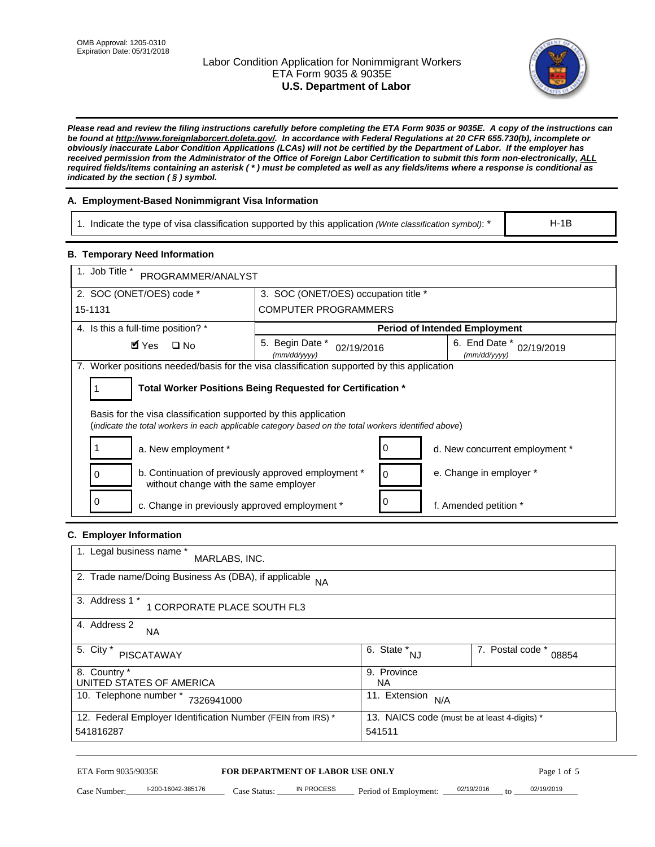# Labor Condition Application for Nonimmigrant Workers ETA Form 9035 & 9035E **U.S. Department of Labor**



*Please read and review the filing instructions carefully before completing the ETA Form 9035 or 9035E. A copy of the instructions can be found at http://www.foreignlaborcert.doleta.gov/. In accordance with Federal Regulations at 20 CFR 655.730(b), incomplete or obviously inaccurate Labor Condition Applications (LCAs) will not be certified by the Department of Labor. If the employer has received permission from the Administrator of the Office of Foreign Labor Certification to submit this form non-electronically, ALL required fields/items containing an asterisk ( \* ) must be completed as well as any fields/items where a response is conditional as indicated by the section ( § ) symbol.* 

# **A. Employment-Based Nonimmigrant Visa Information**

1. Indicate the type of visa classification supported by this application *(Write classification symbol)*: \*

# **B. Temporary Need Information**

| 1. Indicate the type of visa classification supported by this application (Write classification symbol): *                                                              |                                                                        |                                                 |                                              | $H-1B$                    |
|-------------------------------------------------------------------------------------------------------------------------------------------------------------------------|------------------------------------------------------------------------|-------------------------------------------------|----------------------------------------------|---------------------------|
| <b>B. Temporary Need Information</b>                                                                                                                                    |                                                                        |                                                 |                                              |                           |
| 1. Job Title *<br>PROGRAMMER/ANALYST                                                                                                                                    |                                                                        |                                                 |                                              |                           |
| 2. SOC (ONET/OES) code *<br>3. SOC (ONET/OES) occupation title *                                                                                                        |                                                                        |                                                 |                                              |                           |
| 15-1131                                                                                                                                                                 | <b>COMPUTER PROGRAMMERS</b>                                            |                                                 |                                              |                           |
| 4. Is this a full-time position? *                                                                                                                                      |                                                                        |                                                 | <b>Period of Intended Employment</b>         |                           |
| $\blacksquare$ Yes<br>$\square$ No                                                                                                                                      | 5. Begin Date *<br>02/19/2016<br>(mm/dd/yyyy)                          |                                                 | 6. End Date *<br>(mm/dd/yyyy)                | 02/19/2019                |
| 7. Worker positions needed/basis for the visa classification supported by this application                                                                              |                                                                        |                                                 |                                              |                           |
| Total Worker Positions Being Requested for Certification *<br>1                                                                                                         |                                                                        |                                                 |                                              |                           |
| Basis for the visa classification supported by this application<br>(indicate the total workers in each applicable category based on the total workers identified above) |                                                                        |                                                 |                                              |                           |
| 1<br>a. New employment *                                                                                                                                                |                                                                        | 0                                               | d. New concurrent employment *               |                           |
| b. Continuation of previously approved employment *<br>0<br>without change with the same employer                                                                       |                                                                        | 0                                               | e. Change in employer *                      |                           |
| 0<br>c. Change in previously approved employment *                                                                                                                      |                                                                        | 0                                               | f. Amended petition *                        |                           |
| C. Employer Information                                                                                                                                                 |                                                                        |                                                 |                                              |                           |
| 1. Legal business name *<br>MARLABS, INC.                                                                                                                               |                                                                        |                                                 |                                              |                           |
| 2. Trade name/Doing Business As (DBA), if applicable NA                                                                                                                 |                                                                        |                                                 |                                              |                           |
| 3. Address 1 *<br>1 CORPORATE PLACE SOUTH FL3                                                                                                                           |                                                                        |                                                 |                                              |                           |
| 4. Address 2<br>NA.                                                                                                                                                     |                                                                        |                                                 |                                              |                           |
| 5. City $*$<br><b>PISCATAWAY</b>                                                                                                                                        |                                                                        | $\overline{6. \quad \text{State}}^*_{\quad NJ}$ |                                              | 7. Postal code *<br>08854 |
| 8. Country *<br>UNITED STATES OF AMERICA                                                                                                                                |                                                                        | 9. Province<br><b>NA</b>                        |                                              |                           |
| 10. Telephone number * 7326941000                                                                                                                                       |                                                                        | 11. Extension $N/A$                             |                                              |                           |
| 12. Federal Employer Identification Number (FEIN from IRS) *<br>541816287                                                                                               |                                                                        | 541511                                          | 13. NAICS code (must be at least 4-digits) * |                           |
| ETA Form 9035/9035E<br>I-200-16042-385176<br>Case Number:                                                                                                               | <b>FOR DEPARTMENT OF LABOR USE ONLY</b><br>IN PROCESS<br>$Case$ Statue | Period of Employment:                           | 02/19/2016                                   | Page 1 of 5<br>02/19/2019 |

# **C. Employer Information**

| 1. Legal business name *<br>MARLABS, INC.                    |                                              |                           |
|--------------------------------------------------------------|----------------------------------------------|---------------------------|
| 2. Trade name/Doing Business As (DBA), if applicable NA      |                                              |                           |
| 3. Address 1 *<br>1 CORPORATE PLACE SOUTH FL3                |                                              |                           |
| 4. Address 2<br><b>NA</b>                                    |                                              |                           |
| 5. City *<br><b>PISCATAWAY</b>                               | 6. State *<br><b>NJ</b>                      | 7. Postal code *<br>08854 |
| 8. Country *                                                 | 9. Province                                  |                           |
| UNITED STATES OF AMERICA                                     | NA.                                          |                           |
| 10. Telephone number *<br>7326941000                         | 11. Extension<br>N/A                         |                           |
| 12. Federal Employer Identification Number (FEIN from IRS) * | 13. NAICS code (must be at least 4-digits) * |                           |
| 541816287                                                    | 541511                                       |                           |

# ETA Form 9035/9035E **FOR DEPARTMENT OF LABOR USE ONLY** Page 1 of 5<br>Case Number: 1-200-16042-385176 Case Status: IN PROCESS Period of Employment: 02/19/2016 to 02/19/2019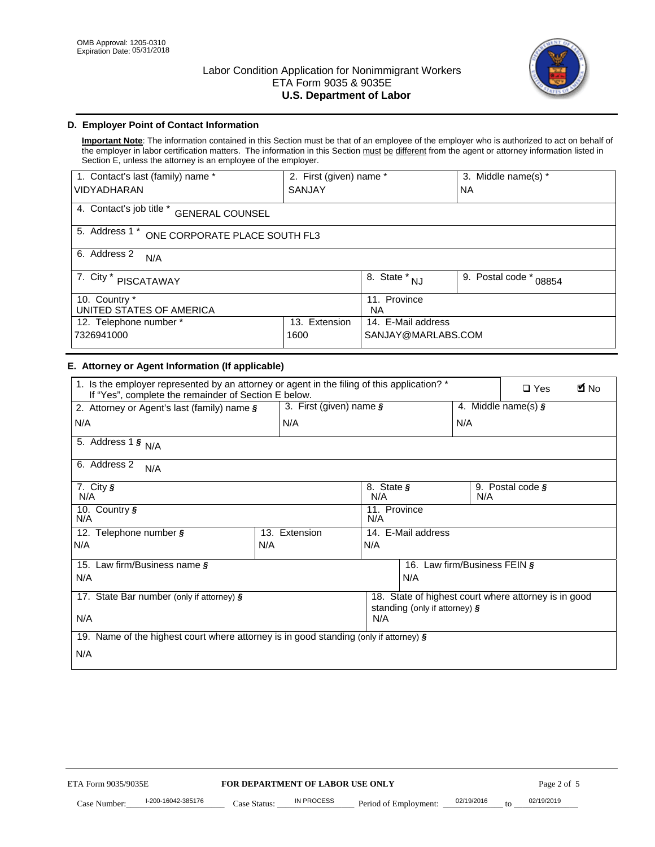

# **D. Employer Point of Contact Information**

**Important Note**: The information contained in this Section must be that of an employee of the employer who is authorized to act on behalf of the employer in labor certification matters. The information in this Section must be different from the agent or attorney information listed in Section E, unless the attorney is an employee of the employer.

| 1. Contact's last (family) name *                  | 2. First (given) name * |                                | 3. Middle name(s) *       |  |
|----------------------------------------------------|-------------------------|--------------------------------|---------------------------|--|
| <b>VIDYADHARAN</b>                                 | <b>SANJAY</b>           |                                | <b>NA</b>                 |  |
| 4. Contact's job title *<br><b>GENERAL COUNSEL</b> |                         |                                |                           |  |
| 5. Address 1 *<br>ONE CORPORATE PLACE SOUTH FL3    |                         |                                |                           |  |
| 6. Address 2<br>N/A                                |                         |                                |                           |  |
| 7. City $*$<br>PISCATAWAY                          |                         | $\overline{8}$ . State *<br>NJ | 9. Postal code *<br>08854 |  |
| 10. Country *<br>UNITED STATES OF AMERICA          |                         | 11. Province<br><b>NA</b>      |                           |  |
| Extension<br>12. Telephone number *<br>13.         |                         | 14. E-Mail address             |                           |  |
| 7326941000<br>1600                                 |                         | SANJAY@MARLABS.COM             |                           |  |

# **E. Attorney or Agent Information (If applicable)**

| VIDYADHARAN                                                                                                                                         | SANJAY                           |                                           |                                          | <b>NA</b>                    |                                                      |             |
|-----------------------------------------------------------------------------------------------------------------------------------------------------|----------------------------------|-------------------------------------------|------------------------------------------|------------------------------|------------------------------------------------------|-------------|
| 4. Contact's job title * GENERAL COUNSEL                                                                                                            |                                  |                                           |                                          |                              |                                                      |             |
| 5. Address 1 * ONE CORPORATE PLACE SOUTH FL3                                                                                                        |                                  |                                           |                                          |                              |                                                      |             |
| 6. Address 2<br>N/A                                                                                                                                 |                                  |                                           |                                          |                              |                                                      |             |
| 7. City * PISCATAWAY                                                                                                                                |                                  | $\overline{\phantom{a}}$ 8. State $^*$ NJ |                                          | 9. Postal code *<br>08854    |                                                      |             |
| 10. Country *<br>UNITED STATES OF AMERICA                                                                                                           |                                  | 11. Province<br><b>NA</b>                 |                                          |                              |                                                      |             |
| 12. Telephone number *<br>7326941000                                                                                                                | 13. Extension<br>1600            |                                           | 14. E-Mail address<br>SANJAY@MARLABS.COM |                              |                                                      |             |
| E. Attorney or Agent Information (If applicable)                                                                                                    |                                  |                                           |                                          |                              |                                                      |             |
| 1. Is the employer represented by an attorney or agent in the filing of this application? *<br>If "Yes", complete the remainder of Section E below. |                                  |                                           |                                          |                              | $\Box$ Yes                                           | <b>M</b> No |
| 2. Attorney or Agent's last (family) name §                                                                                                         | 3. First (given) name §          |                                           |                                          |                              | 4. Middle name(s) $\sqrt{s}$                         |             |
| N/A                                                                                                                                                 | N/A                              |                                           |                                          | N/A                          |                                                      |             |
| 5. Address 1 $\frac{1}{9}$ N/A                                                                                                                      |                                  |                                           |                                          |                              |                                                      |             |
| 6. Address 2<br>N/A                                                                                                                                 |                                  |                                           |                                          |                              |                                                      |             |
| 7. City §<br>N/A                                                                                                                                    |                                  | 8. State §<br>N/A                         |                                          | N/A                          | 9. Postal code §                                     |             |
| 10. Country §<br>N/A                                                                                                                                |                                  | 11. Province<br>N/A                       |                                          |                              |                                                      |             |
| 12. Telephone number §                                                                                                                              | 13. Extension                    | 14. E-Mail address                        |                                          |                              |                                                      |             |
| N/A                                                                                                                                                 | N/A                              | N/A                                       |                                          |                              |                                                      |             |
| 15. Law firm/Business name §                                                                                                                        |                                  |                                           |                                          | 16. Law firm/Business FEIN § |                                                      |             |
| N/A                                                                                                                                                 |                                  |                                           | N/A                                      |                              |                                                      |             |
| 17. State Bar number (only if attorney) §                                                                                                           |                                  |                                           | standing (only if attorney) §            |                              | 18. State of highest court where attorney is in good |             |
| N/A                                                                                                                                                 |                                  | N/A                                       |                                          |                              |                                                      |             |
| 19. Name of the highest court where attorney is in good standing (only if attorney) §                                                               |                                  |                                           |                                          |                              |                                                      |             |
| N/A                                                                                                                                                 |                                  |                                           |                                          |                              |                                                      |             |
|                                                                                                                                                     |                                  |                                           |                                          |                              |                                                      |             |
|                                                                                                                                                     |                                  |                                           |                                          |                              |                                                      |             |
|                                                                                                                                                     |                                  |                                           |                                          |                              |                                                      |             |
|                                                                                                                                                     |                                  |                                           |                                          |                              |                                                      |             |
|                                                                                                                                                     |                                  |                                           |                                          |                              |                                                      |             |
|                                                                                                                                                     |                                  |                                           |                                          |                              |                                                      |             |
| ETA Form 9035/9035E                                                                                                                                 | FOR DEPARTMENT OF LABOR USE ONLY |                                           |                                          |                              | Page 2 of 5                                          |             |
| I-200-16042-385176                                                                                                                                  | IN PROCESS                       |                                           |                                          | 02/19/2016                   | 02/19/2019                                           |             |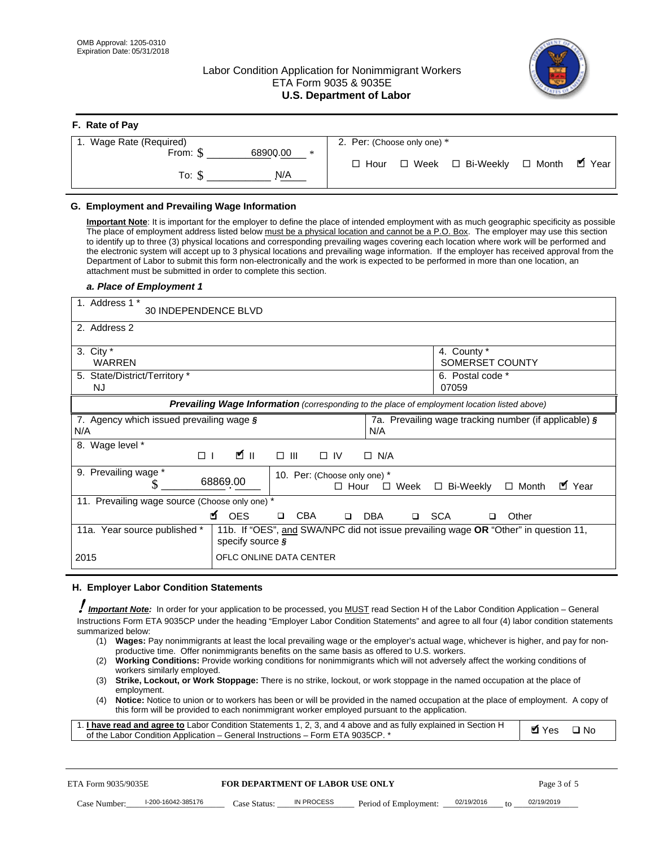**F. Rate of Pay** 

# Labor Condition Application for Nonimmigrant Workers ETA Form 9035 & 9035E **U.S. Department of Labor**



| <b>F.</b> Rate of Pay          |                                                               |
|--------------------------------|---------------------------------------------------------------|
| 1. Wage Rate (Required)        | 2. Per: (Choose only one) *                                   |
| 68900.00<br>From: \$<br>$\ast$ |                                                               |
| N/A<br>To: S                   | . ■ Year<br>□ Week □ Bi-Weekly<br>$\Box$ Month<br>$\Box$ Hour |

## **G. Employment and Prevailing Wage Information**

#### *a. Place of Employment 1*

| From: \$                                                                                                                                                                                                                                                                                                                                                                                                                                                                                                                                                                                                                                                                                                                                                                                                                                                              | 68900.00<br>$\ast$<br>To: $\S$<br>N/A                                                                                                                                                                                                                                                                                                                                                                                                                                                                                                                                                                                                                                                                                                | $\Box$ Hour              |                           | $\Box$ Week $\Box$ Bi-Weekly                                | $\Box$ Month | $\blacksquare$ Year |
|-----------------------------------------------------------------------------------------------------------------------------------------------------------------------------------------------------------------------------------------------------------------------------------------------------------------------------------------------------------------------------------------------------------------------------------------------------------------------------------------------------------------------------------------------------------------------------------------------------------------------------------------------------------------------------------------------------------------------------------------------------------------------------------------------------------------------------------------------------------------------|--------------------------------------------------------------------------------------------------------------------------------------------------------------------------------------------------------------------------------------------------------------------------------------------------------------------------------------------------------------------------------------------------------------------------------------------------------------------------------------------------------------------------------------------------------------------------------------------------------------------------------------------------------------------------------------------------------------------------------------|--------------------------|---------------------------|-------------------------------------------------------------|--------------|---------------------|
| G. Employment and Prevailing Wage Information<br>Important Note: It is important for the employer to define the place of intended employment with as much geographic specificity as possible<br>The place of employment address listed below must be a physical location and cannot be a P.O. Box. The employer may use this section<br>to identify up to three (3) physical locations and corresponding prevailing wages covering each location where work will be performed and<br>the electronic system will accept up to 3 physical locations and prevailing wage information. If the employer has received approval from the<br>Department of Labor to submit this form non-electronically and the work is expected to be performed in more than one location, an<br>attachment must be submitted in order to complete this section.<br>a. Place of Employment 1 |                                                                                                                                                                                                                                                                                                                                                                                                                                                                                                                                                                                                                                                                                                                                      |                          |                           |                                                             |              |                     |
| 1. Address 1 *<br>30 INDEPENDENCE BLVD<br>2. Address 2                                                                                                                                                                                                                                                                                                                                                                                                                                                                                                                                                                                                                                                                                                                                                                                                                |                                                                                                                                                                                                                                                                                                                                                                                                                                                                                                                                                                                                                                                                                                                                      |                          |                           |                                                             |              |                     |
| 3. City $*$<br><b>WARREN</b><br>5. State/District/Territory *<br><b>NJ</b>                                                                                                                                                                                                                                                                                                                                                                                                                                                                                                                                                                                                                                                                                                                                                                                            |                                                                                                                                                                                                                                                                                                                                                                                                                                                                                                                                                                                                                                                                                                                                      |                          |                           | 4. County *<br>SOMERSET COUNTY<br>6. Postal code *<br>07059 |              |                     |
| 7. Agency which issued prevailing wage §<br>N/A                                                                                                                                                                                                                                                                                                                                                                                                                                                                                                                                                                                                                                                                                                                                                                                                                       | Prevailing Wage Information (corresponding to the place of employment location listed above)                                                                                                                                                                                                                                                                                                                                                                                                                                                                                                                                                                                                                                         | N/A                      |                           | 7a. Prevailing wage tracking number (if applicable) §       |              |                     |
| 8. Wage level *<br>$\Box$<br>9. Prevailing wage *<br>S                                                                                                                                                                                                                                                                                                                                                                                                                                                                                                                                                                                                                                                                                                                                                                                                                | <b>M</b><br>$\Box$<br>III<br>10. Per: (Choose only one) *<br>68869.00                                                                                                                                                                                                                                                                                                                                                                                                                                                                                                                                                                                                                                                                | $\Box$ IV<br>$\Box$ Hour | $\Box$ N/A<br>$\Box$ Week | □ Bi-Weekly                                                 | $\Box$ Month | ■ Year              |
| 11. Prevailing wage source (Choose only one) *<br>11a. Year source published *                                                                                                                                                                                                                                                                                                                                                                                                                                                                                                                                                                                                                                                                                                                                                                                        | <b>¤</b> OES<br><b>CBA</b><br>$\Box$<br>11b. If "OES", and SWA/NPC did not issue prevailing wage OR "Other" in question 11,                                                                                                                                                                                                                                                                                                                                                                                                                                                                                                                                                                                                          | DBA<br>$\Box$            |                           | □ SCA<br>□                                                  | Other        |                     |
| 2015                                                                                                                                                                                                                                                                                                                                                                                                                                                                                                                                                                                                                                                                                                                                                                                                                                                                  | specify source $\boldsymbol{\S}$<br>OFLC ONLINE DATA CENTER                                                                                                                                                                                                                                                                                                                                                                                                                                                                                                                                                                                                                                                                          |                          |                           |                                                             |              |                     |
| H. Employer Labor Condition Statements<br><b>Important Note:</b> In order for your application to be processed, you MUST read Section H of the Labor Condition Application - General<br>Instructions Form ETA 9035CP under the heading "Employer Labor Condition Statements" and agree to all four (4) labor condition statements<br>summarized below:<br>(1)<br>(2)<br>workers similarly employed.<br>(3)<br>employment.<br>(4)<br>1. I have read and agree to Labor Condition Statements 1, 2, 3, and 4 above and as fully explained in Section H<br>of the Labor Condition Application - General Instructions - Form ETA 9035CP. *                                                                                                                                                                                                                                 | Wages: Pay nonimmigrants at least the local prevailing wage or the employer's actual wage, whichever is higher, and pay for non-<br>productive time. Offer nonimmigrants benefits on the same basis as offered to U.S. workers.<br><b>Working Conditions:</b> Provide working conditions for nonimmigrants which will not adversely affect the working conditions of<br>Strike, Lockout, or Work Stoppage: There is no strike, lockout, or work stoppage in the named occupation at the place of<br>Notice: Notice to union or to workers has been or will be provided in the named occupation at the place of employment. A copy of<br>this form will be provided to each nonimmigrant worker employed pursuant to the application. |                          |                           |                                                             | <b>Ø</b> Yes | $\square$ No        |
| ETA Form 9035/9035E                                                                                                                                                                                                                                                                                                                                                                                                                                                                                                                                                                                                                                                                                                                                                                                                                                                   | <b>FOR DEPARTMENT OF LABOR USE ONLY</b>                                                                                                                                                                                                                                                                                                                                                                                                                                                                                                                                                                                                                                                                                              |                          |                           |                                                             | Page 3 of 5  |                     |
| I-200-16042-385176<br>Case Number:                                                                                                                                                                                                                                                                                                                                                                                                                                                                                                                                                                                                                                                                                                                                                                                                                                    | IN PROCESS<br>Case Status: .                                                                                                                                                                                                                                                                                                                                                                                                                                                                                                                                                                                                                                                                                                         |                          | Period of Employment:     | 02/19/2016                                                  | 02/19/2019   |                     |

#### **H. Employer Labor Condition Statements**

- (1) **Wages:** Pay nonimmigrants at least the local prevailing wage or the employer's actual wage, whichever is higher, and pay for nonproductive time. Offer nonimmigrants benefits on the same basis as offered to U.S. workers.
- (2) **Working Conditions:** Provide working conditions for nonimmigrants which will not adversely affect the working conditions of workers similarly employed.
- (3) **Strike, Lockout, or Work Stoppage:** There is no strike, lockout, or work stoppage in the named occupation at the place of employment.
- (4) **Notice:** Notice to union or to workers has been or will be provided in the named occupation at the place of employment. A copy of this form will be provided to each nonimmigrant worker employed pursuant to the application.

| 1. I have read and agree to Labor Condition Statements 1, 2, 3, and 4 above and as fully explained in Section H | <b>Ø</b> Yes | ⊟ No |
|-----------------------------------------------------------------------------------------------------------------|--------------|------|
| of the Labor Condition Application – General Instructions – Form ETA 9035CP. *                                  |              |      |

| ETA Form 9035/9035E |                    |              | <b>FOR DEPARTMENT OF LABOR USE ONLY</b> |                                    |  |              | Page 3 of 5 |
|---------------------|--------------------|--------------|-----------------------------------------|------------------------------------|--|--------------|-------------|
| Case Number:        | l-200-16042-385176 | Case Status: | IN PROCESS                              | Period of Employment: $02/19/2016$ |  | $f_{\Omega}$ | 02/19/2019  |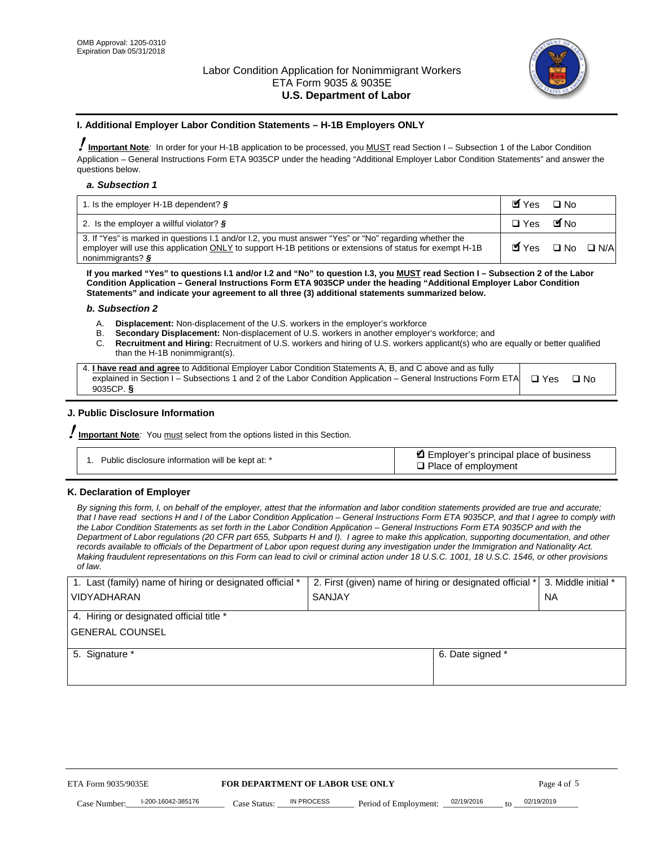

#### **I. Additional Employer Labor Condition Statements – H-1B Employers ONLY**

!**Important Note***:* In order for your H-1B application to be processed, you MUST read Section I – Subsection 1 of the Labor Condition Application – General Instructions Form ETA 9035CP under the heading "Additional Employer Labor Condition Statements" and answer the questions below.

#### *a. Subsection 1*

| 1. Is the employer H-1B dependent? $\S$                                                                                                                                                                                                 | Myes                                          | $\Box$ No              |  |
|-----------------------------------------------------------------------------------------------------------------------------------------------------------------------------------------------------------------------------------------|-----------------------------------------------|------------------------|--|
| 2. Is the employer a willful violator? $\frac{1}{2}$                                                                                                                                                                                    | $\Box$ Yes                                    | <b>M</b> <sub>No</sub> |  |
| 3. If "Yes" is marked in questions 1.1 and/or 1.2, you must answer "Yes" or "No" regarding whether the<br>employer will use this application ONLY to support H-1B petitions or extensions of status for exempt H-1B<br>nonimmigrants? § | $\blacksquare$ Yes $\square$ No $\square$ N/A |                        |  |

**If you marked "Yes" to questions I.1 and/or I.2 and "No" to question I.3, you MUST read Section I – Subsection 2 of the Labor Condition Application – General Instructions Form ETA 9035CP under the heading "Additional Employer Labor Condition Statements" and indicate your agreement to all three (3) additional statements summarized below.** 

#### *b. Subsection 2*

- A. **Displacement:** Non-displacement of the U.S. workers in the employer's workforce
- B. **Secondary Displacement:** Non-displacement of U.S. workers in another employer's workforce; and
- C. **Recruitment and Hiring:** Recruitment of U.S. workers and hiring of U.S. workers applicant(s) who are equally or better qualified than the H-1B nonimmigrant(s).

| 4. I have read and agree to Additional Employer Labor Condition Statements A, B, and C above and as fully                  |      |
|----------------------------------------------------------------------------------------------------------------------------|------|
| explained in Section I – Subsections 1 and 2 of the Labor Condition Application – General Instructions Form ETA $\Box$ Yes | ∩ Nח |
| 9035CP. $\delta$                                                                                                           |      |

# **J. Public Disclosure Information**

!**Important Note***:* You must select from the options listed in this Section.

| Public disclosure information will be kept at: * | Employer's principal place of business<br>$\Box$ Place of employment |
|--------------------------------------------------|----------------------------------------------------------------------|
|--------------------------------------------------|----------------------------------------------------------------------|

#### **K. Declaration of Employer**

*By signing this form, I, on behalf of the employer, attest that the information and labor condition statements provided are true and accurate;*  that I have read sections H and I of the Labor Condition Application – General Instructions Form ETA 9035CP, and that I agree to comply with *the Labor Condition Statements as set forth in the Labor Condition Application – General Instructions Form ETA 9035CP and with the Department of Labor regulations (20 CFR part 655, Subparts H and I). I agree to make this application, supporting documentation, and other records available to officials of the Department of Labor upon request during any investigation under the Immigration and Nationality Act. Making fraudulent representations on this Form can lead to civil or criminal action under 18 U.S.C. 1001, 18 U.S.C. 1546, or other provisions of law.* 

| 1. Last (family) name of hiring or designated official * | 2. First (given) name of hiring or designated official * |                                                     | 3. Middle initial * |
|----------------------------------------------------------|----------------------------------------------------------|-----------------------------------------------------|---------------------|
| <b>VIDYADHARAN</b>                                       | <b>SANJAY</b>                                            |                                                     | <b>NA</b>           |
| 4. Hiring or designated official title *                 |                                                          |                                                     |                     |
| <b>GENERAL COUNSEL</b>                                   |                                                          |                                                     |                     |
| 5. Signature *                                           |                                                          | 6. Date signed *                                    |                     |
|                                                          |                                                          |                                                     |                     |
|                                                          |                                                          |                                                     |                     |
|                                                          |                                                          |                                                     |                     |
|                                                          |                                                          |                                                     |                     |
| ETA Form 9035/9035E                                      | FOR DEPARTMENT OF LABOR USE ONLY                         |                                                     | Page 4 of 5         |
| I-200-16042-385176<br>Case Number<br>Case Status:        | IN PROCESS<br>Period of Employment:                      | 02/19/2016<br>02/19/2019<br>$\mathbf{f} \mathbf{O}$ |                     |